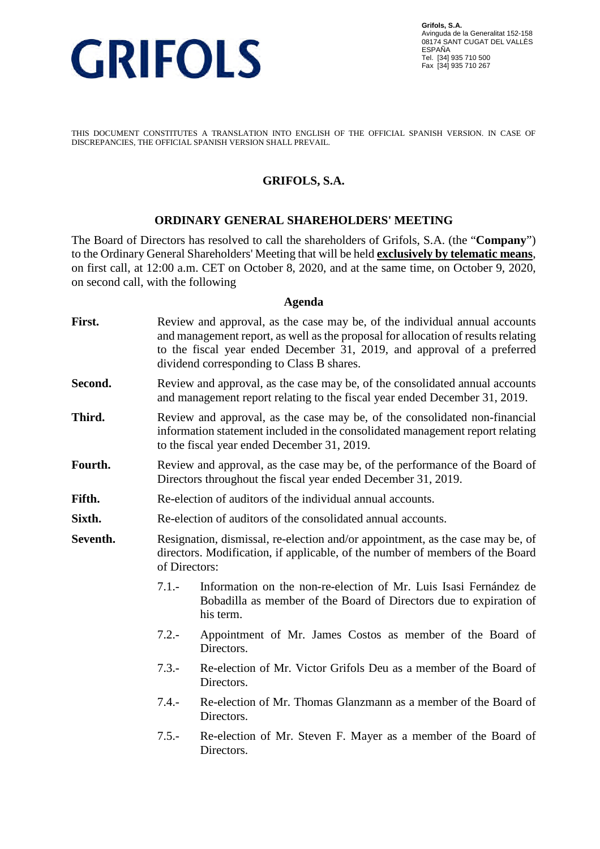

THIS DOCUMENT CONSTITUTES A TRANSLATION INTO ENGLISH OF THE OFFICIAL SPANISH VERSION. IN CASE OF DISCREPANCIES, THE OFFICIAL SPANISH VERSION SHALL PREVAIL.

### **GRIFOLS, S.A.**

#### **ORDINARY GENERAL SHAREHOLDERS' MEETING**

The Board of Directors has resolved to call the shareholders of Grifols, S.A. (the "**Company**") to the Ordinary General Shareholders' Meeting that will be held **exclusively by telematic means**, on first call, at 12:00 a.m. CET on October 8, 2020, and at the same time, on October 9, 2020, on second call, with the following

#### **Agenda**

- **First.** Review and approval, as the case may be, of the individual annual accounts and management report, as well as the proposal for allocation of results relating to the fiscal year ended December 31, 2019, and approval of a preferred dividend corresponding to Class B shares.
- **Second.** Review and approval, as the case may be, of the consolidated annual accounts and management report relating to the fiscal year ended December 31, 2019.
- **Third.** Review and approval, as the case may be, of the consolidated non-financial information statement included in the consolidated management report relating to the fiscal year ended December 31, 2019.
- Fourth. Review and approval, as the case may be, of the performance of the Board of Directors throughout the fiscal year ended December 31, 2019.
- **Fifth.** Re-election of auditors of the individual annual accounts.
- **Sixth.** Re-election of auditors of the consolidated annual accounts.
- **Seventh.** Resignation, dismissal, re-election and/or appointment, as the case may be, of directors. Modification, if applicable, of the number of members of the Board of Directors:
	- 7.1.- Information on the non-re-election of Mr. Luis Isasi Fernández de Bobadilla as member of the Board of Directors due to expiration of his term.
	- 7.2.- Appointment of Mr. James Costos as member of the Board of Directors.
	- 7.3.- Re-election of Mr. Victor Grifols Deu as a member of the Board of Directors.
	- 7.4.- Re-election of Mr. Thomas Glanzmann as a member of the Board of Directors.
	- 7.5.- Re-election of Mr. Steven F. Mayer as a member of the Board of **Directors**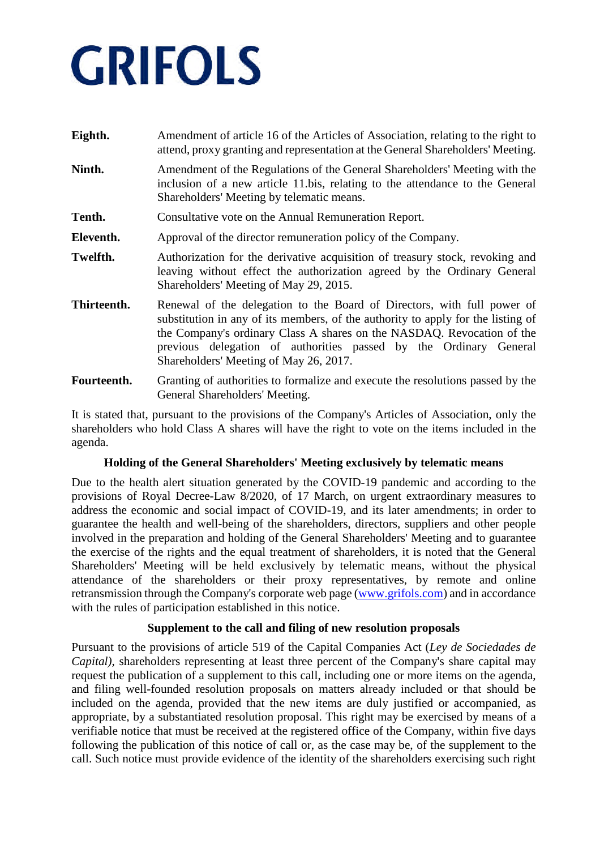| Eighth.     | Amendment of article 16 of the Articles of Association, relating to the right to<br>attend, proxy granting and representation at the General Shareholders' Meeting.                                                                                                                                                                                  |
|-------------|------------------------------------------------------------------------------------------------------------------------------------------------------------------------------------------------------------------------------------------------------------------------------------------------------------------------------------------------------|
| Ninth.      | Amendment of the Regulations of the General Shareholders' Meeting with the<br>inclusion of a new article 11.bis, relating to the attendance to the General<br>Shareholders' Meeting by telematic means.                                                                                                                                              |
| Tenth.      | Consultative vote on the Annual Remuneration Report.                                                                                                                                                                                                                                                                                                 |
| Eleventh.   | Approval of the director remuneration policy of the Company.                                                                                                                                                                                                                                                                                         |
| Twelfth.    | Authorization for the derivative acquisition of treasury stock, revoking and<br>leaving without effect the authorization agreed by the Ordinary General<br>Shareholders' Meeting of May 29, 2015.                                                                                                                                                    |
| Thirteenth. | Renewal of the delegation to the Board of Directors, with full power of<br>substitution in any of its members, of the authority to apply for the listing of<br>the Company's ordinary Class A shares on the NASDAQ. Revocation of the<br>previous delegation of authorities passed by the Ordinary General<br>Shareholders' Meeting of May 26, 2017. |
| Fourteenth. | Granting of authorities to formalize and execute the resolutions passed by the<br>General Shareholders' Meeting.                                                                                                                                                                                                                                     |

It is stated that, pursuant to the provisions of the Company's Articles of Association, only the shareholders who hold Class A shares will have the right to vote on the items included in the agenda.

### **Holding of the General Shareholders' Meeting exclusively by telematic means**

Due to the health alert situation generated by the COVID-19 pandemic and according to the provisions of Royal Decree-Law 8/2020, of 17 March, on urgent extraordinary measures to address the economic and social impact of COVID-19, and its later amendments; in order to guarantee the health and well-being of the shareholders, directors, suppliers and other people involved in the preparation and holding of the General Shareholders' Meeting and to guarantee the exercise of the rights and the equal treatment of shareholders, it is noted that the General Shareholders' Meeting will be held exclusively by telematic means, without the physical attendance of the shareholders or their proxy representatives, by remote and online retransmission through the Company's corporate web page (www.grifols.com) and in accordance with the rules of participation established in this notice.

### **Supplement to the call and filing of new resolution proposals**

Pursuant to the provisions of article 519 of the Capital Companies Act (*Ley de Sociedades de Capital)*, shareholders representing at least three percent of the Company's share capital may request the publication of a supplement to this call, including one or more items on the agenda, and filing well-founded resolution proposals on matters already included or that should be included on the agenda, provided that the new items are duly justified or accompanied, as appropriate, by a substantiated resolution proposal. This right may be exercised by means of a verifiable notice that must be received at the registered office of the Company, within five days following the publication of this notice of call or, as the case may be, of the supplement to the call. Such notice must provide evidence of the identity of the shareholders exercising such right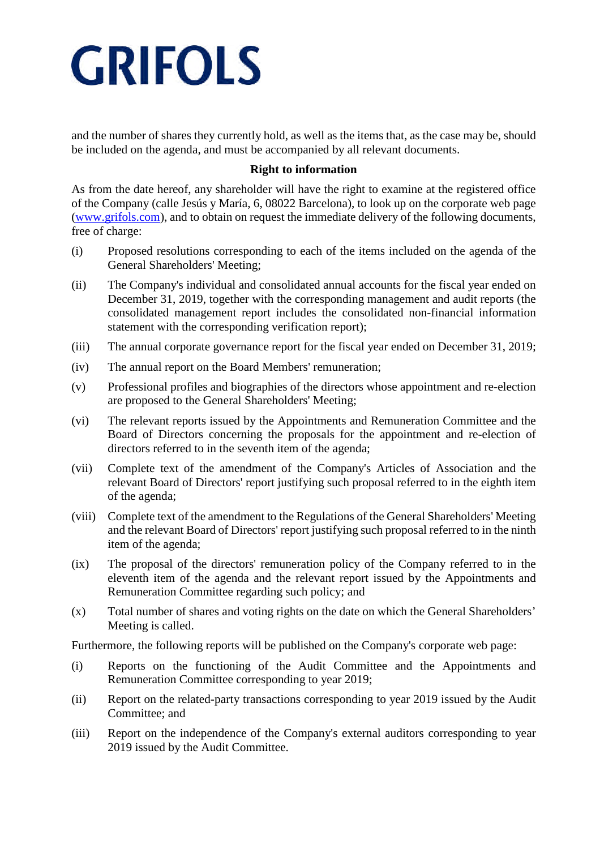and the number of shares they currently hold, as well as the items that, as the case may be, should be included on the agenda, and must be accompanied by all relevant documents.

#### **Right to information**

As from the date hereof, any shareholder will have the right to examine at the registered office of the Company (calle Jesús y María, 6, 08022 Barcelona), to look up on the corporate web page (www.grifols.com), and to obtain on request the immediate delivery of the following documents, free of charge:

- (i) Proposed resolutions corresponding to each of the items included on the agenda of the General Shareholders' Meeting;
- (ii) The Company's individual and consolidated annual accounts for the fiscal year ended on December 31, 2019, together with the corresponding management and audit reports (the consolidated management report includes the consolidated non-financial information statement with the corresponding verification report);
- (iii) The annual corporate governance report for the fiscal year ended on December 31, 2019;
- (iv) The annual report on the Board Members' remuneration;
- (v) Professional profiles and biographies of the directors whose appointment and re-election are proposed to the General Shareholders' Meeting;
- (vi) The relevant reports issued by the Appointments and Remuneration Committee and the Board of Directors concerning the proposals for the appointment and re-election of directors referred to in the seventh item of the agenda;
- (vii) Complete text of the amendment of the Company's Articles of Association and the relevant Board of Directors' report justifying such proposal referred to in the eighth item of the agenda;
- (viii) Complete text of the amendment to the Regulations of the General Shareholders' Meeting and the relevant Board of Directors' report justifying such proposal referred to in the ninth item of the agenda;
- (ix) The proposal of the directors' remuneration policy of the Company referred to in the eleventh item of the agenda and the relevant report issued by the Appointments and Remuneration Committee regarding such policy; and
- (x) Total number of shares and voting rights on the date on which the General Shareholders' Meeting is called.

Furthermore, the following reports will be published on the Company's corporate web page:

- (i) Reports on the functioning of the Audit Committee and the Appointments and Remuneration Committee corresponding to year 2019;
- (ii) Report on the related-party transactions corresponding to year 2019 issued by the Audit Committee; and
- (iii) Report on the independence of the Company's external auditors corresponding to year 2019 issued by the Audit Committee.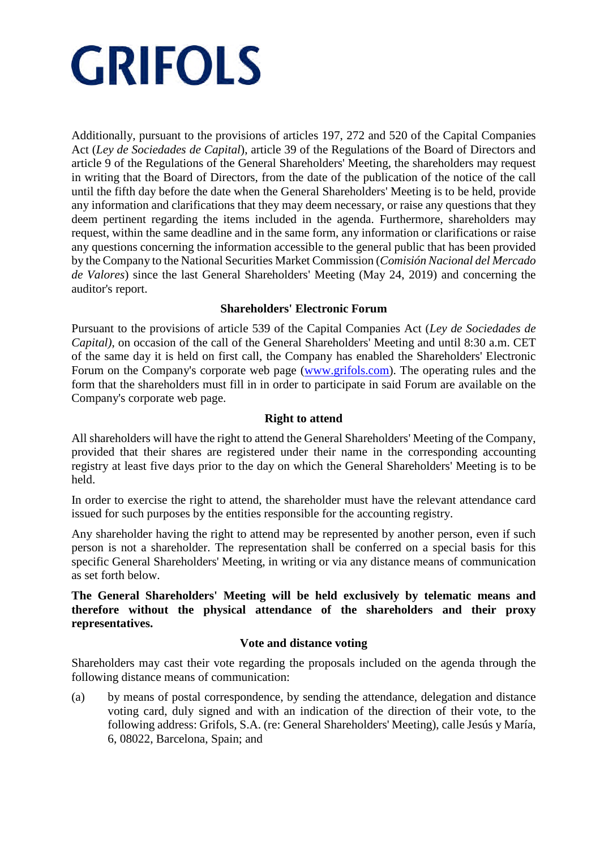Additionally, pursuant to the provisions of articles 197, 272 and 520 of the Capital Companies Act (*Ley de Sociedades de Capital*), article 39 of the Regulations of the Board of Directors and article 9 of the Regulations of the General Shareholders' Meeting, the shareholders may request in writing that the Board of Directors, from the date of the publication of the notice of the call until the fifth day before the date when the General Shareholders' Meeting is to be held, provide any information and clarifications that they may deem necessary, or raise any questions that they deem pertinent regarding the items included in the agenda. Furthermore, shareholders may request, within the same deadline and in the same form, any information or clarifications or raise any questions concerning the information accessible to the general public that has been provided by the Company to the National Securities Market Commission (*Comisión Nacional del Mercado de Valores*) since the last General Shareholders' Meeting (May 24, 2019) and concerning the auditor's report.

### **Shareholders' Electronic Forum**

Pursuant to the provisions of article 539 of the Capital Companies Act (*Ley de Sociedades de Capital)*, on occasion of the call of the General Shareholders' Meeting and until 8:30 a.m. CET of the same day it is held on first call, the Company has enabled the Shareholders' Electronic Forum on the Company's corporate web page (www.grifols.com). The operating rules and the form that the shareholders must fill in in order to participate in said Forum are available on the Company's corporate web page.

### **Right to attend**

All shareholders will have the right to attend the General Shareholders' Meeting of the Company, provided that their shares are registered under their name in the corresponding accounting registry at least five days prior to the day on which the General Shareholders' Meeting is to be held.

In order to exercise the right to attend, the shareholder must have the relevant attendance card issued for such purposes by the entities responsible for the accounting registry.

Any shareholder having the right to attend may be represented by another person, even if such person is not a shareholder. The representation shall be conferred on a special basis for this specific General Shareholders' Meeting, in writing or via any distance means of communication as set forth below.

### **The General Shareholders' Meeting will be held exclusively by telematic means and therefore without the physical attendance of the shareholders and their proxy representatives.**

### **Vote and distance voting**

Shareholders may cast their vote regarding the proposals included on the agenda through the following distance means of communication:

(a) by means of postal correspondence, by sending the attendance, delegation and distance voting card, duly signed and with an indication of the direction of their vote, to the following address: Grifols, S.A. (re: General Shareholders' Meeting), calle Jesús y María, 6, 08022, Barcelona, Spain; and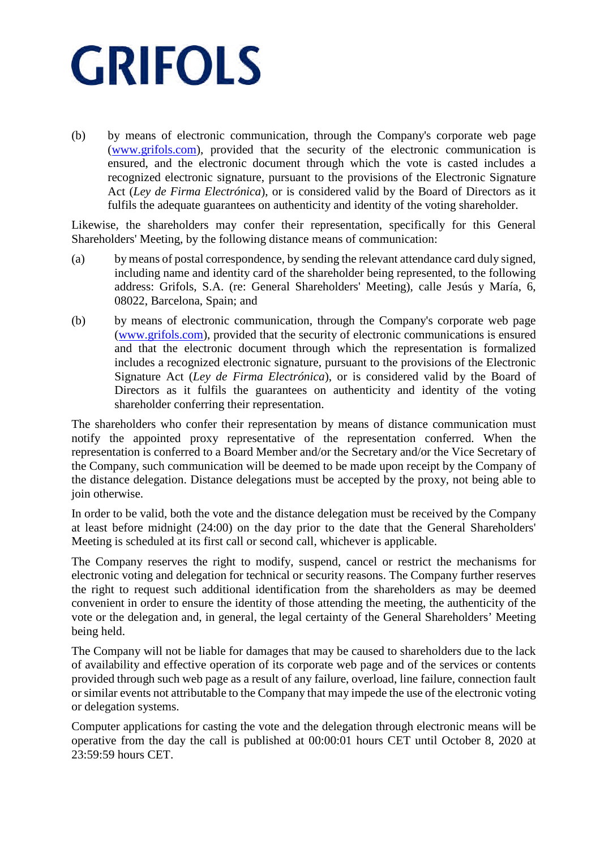(b) by means of electronic communication, through the Company's corporate web page (www.grifols.com), provided that the security of the electronic communication is ensured, and the electronic document through which the vote is casted includes a recognized electronic signature, pursuant to the provisions of the Electronic Signature Act (*Ley de Firma Electrónica*), or is considered valid by the Board of Directors as it fulfils the adequate guarantees on authenticity and identity of the voting shareholder.

Likewise, the shareholders may confer their representation, specifically for this General Shareholders' Meeting, by the following distance means of communication:

- (a) by means of postal correspondence, by sending the relevant attendance card duly signed, including name and identity card of the shareholder being represented, to the following address: Grifols, S.A. (re: General Shareholders' Meeting), calle Jesús y María, 6, 08022, Barcelona, Spain; and
- (b) by means of electronic communication, through the Company's corporate web page (www.grifols.com), provided that the security of electronic communications is ensured and that the electronic document through which the representation is formalized includes a recognized electronic signature, pursuant to the provisions of the Electronic Signature Act (*Ley de Firma Electrónica*), or is considered valid by the Board of Directors as it fulfils the guarantees on authenticity and identity of the voting shareholder conferring their representation.

The shareholders who confer their representation by means of distance communication must notify the appointed proxy representative of the representation conferred. When the representation is conferred to a Board Member and/or the Secretary and/or the Vice Secretary of the Company, such communication will be deemed to be made upon receipt by the Company of the distance delegation. Distance delegations must be accepted by the proxy, not being able to join otherwise.

In order to be valid, both the vote and the distance delegation must be received by the Company at least before midnight (24:00) on the day prior to the date that the General Shareholders' Meeting is scheduled at its first call or second call, whichever is applicable.

The Company reserves the right to modify, suspend, cancel or restrict the mechanisms for electronic voting and delegation for technical or security reasons. The Company further reserves the right to request such additional identification from the shareholders as may be deemed convenient in order to ensure the identity of those attending the meeting, the authenticity of the vote or the delegation and, in general, the legal certainty of the General Shareholders' Meeting being held.

The Company will not be liable for damages that may be caused to shareholders due to the lack of availability and effective operation of its corporate web page and of the services or contents provided through such web page as a result of any failure, overload, line failure, connection fault or similar events not attributable to the Company that may impede the use of the electronic voting or delegation systems.

Computer applications for casting the vote and the delegation through electronic means will be operative from the day the call is published at 00:00:01 hours CET until October 8, 2020 at 23:59:59 hours CET.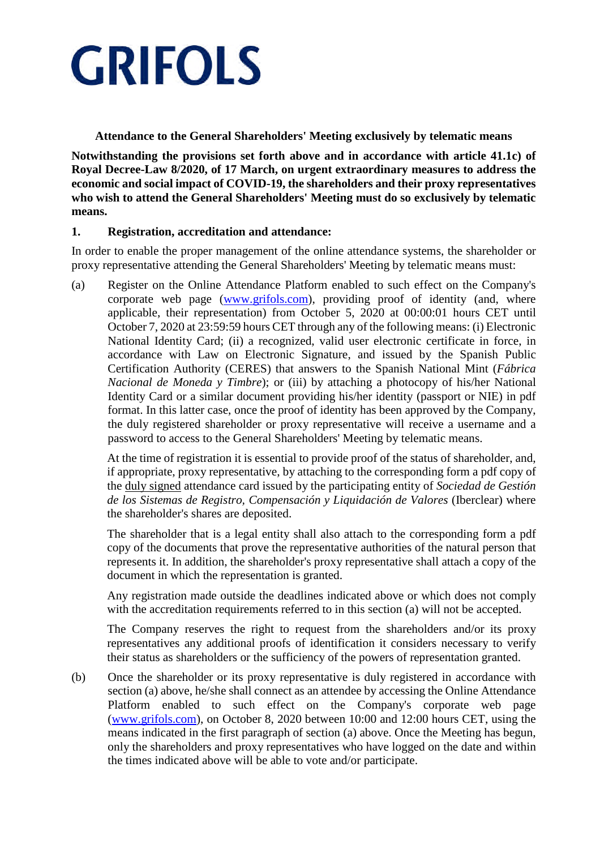

**Attendance to the General Shareholders' Meeting exclusively by telematic means**

**Notwithstanding the provisions set forth above and in accordance with article 41.1c) of Royal Decree-Law 8/2020, of 17 March, on urgent extraordinary measures to address the economic and social impact of COVID-19, the shareholders and their proxy representatives who wish to attend the General Shareholders' Meeting must do so exclusively by telematic means.**

### **1. Registration, accreditation and attendance:**

In order to enable the proper management of the online attendance systems, the shareholder or proxy representative attending the General Shareholders' Meeting by telematic means must:

(a) Register on the Online Attendance Platform enabled to such effect on the Company's corporate web page (www.grifols.com), providing proof of identity (and, where applicable, their representation) from October 5, 2020 at 00:00:01 hours CET until October 7, 2020 at 23:59:59 hours CET through any of the following means: (i) Electronic National Identity Card; (ii) a recognized, valid user electronic certificate in force, in accordance with Law on Electronic Signature, and issued by the Spanish Public Certification Authority (CERES) that answers to the Spanish National Mint (*Fábrica Nacional de Moneda y Timbre*); or (iii) by attaching a photocopy of his/her National Identity Card or a similar document providing his/her identity (passport or NIE) in pdf format. In this latter case, once the proof of identity has been approved by the Company, the duly registered shareholder or proxy representative will receive a username and a password to access to the General Shareholders' Meeting by telematic means.

At the time of registration it is essential to provide proof of the status of shareholder, and, if appropriate, proxy representative, by attaching to the corresponding form a pdf copy of the duly signed attendance card issued by the participating entity of *Sociedad de Gestión de los Sistemas de Registro, Compensación y Liquidación de Valores* (Iberclear) where the shareholder's shares are deposited.

The shareholder that is a legal entity shall also attach to the corresponding form a pdf copy of the documents that prove the representative authorities of the natural person that represents it. In addition, the shareholder's proxy representative shall attach a copy of the document in which the representation is granted.

Any registration made outside the deadlines indicated above or which does not comply with the accreditation requirements referred to in this section (a) will not be accepted.

The Company reserves the right to request from the shareholders and/or its proxy representatives any additional proofs of identification it considers necessary to verify their status as shareholders or the sufficiency of the powers of representation granted.

(b) Once the shareholder or its proxy representative is duly registered in accordance with section (a) above, he/she shall connect as an attendee by accessing the Online Attendance Platform enabled to such effect on the Company's corporate web page (www.grifols.com), on October 8, 2020 between 10:00 and 12:00 hours CET, using the means indicated in the first paragraph of section (a) above. Once the Meeting has begun, only the shareholders and proxy representatives who have logged on the date and within the times indicated above will be able to vote and/or participate.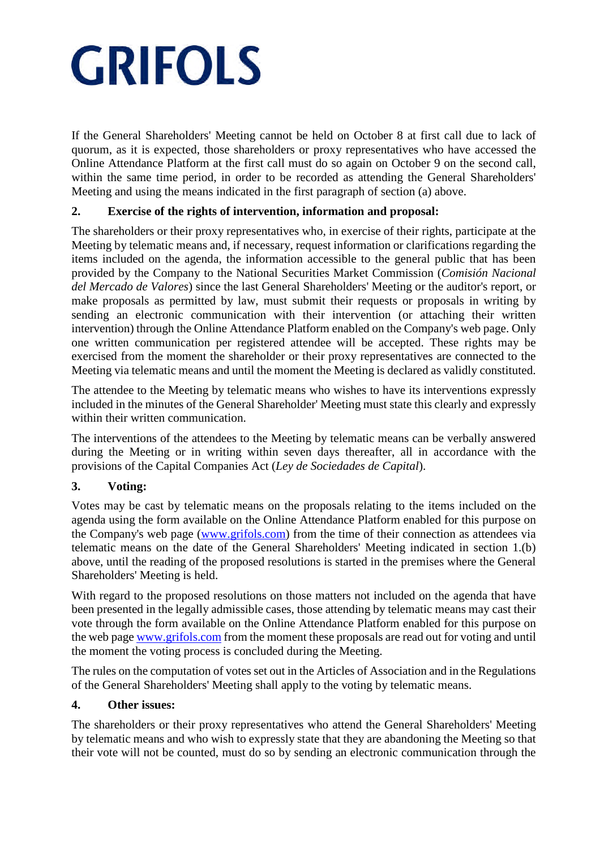If the General Shareholders' Meeting cannot be held on October 8 at first call due to lack of quorum, as it is expected, those shareholders or proxy representatives who have accessed the Online Attendance Platform at the first call must do so again on October 9 on the second call, within the same time period, in order to be recorded as attending the General Shareholders' Meeting and using the means indicated in the first paragraph of section (a) above.

## **2. Exercise of the rights of intervention, information and proposal:**

The shareholders or their proxy representatives who, in exercise of their rights, participate at the Meeting by telematic means and, if necessary, request information or clarifications regarding the items included on the agenda, the information accessible to the general public that has been provided by the Company to the National Securities Market Commission (*Comisión Nacional del Mercado de Valores*) since the last General Shareholders' Meeting or the auditor's report, or make proposals as permitted by law, must submit their requests or proposals in writing by sending an electronic communication with their intervention (or attaching their written intervention) through the Online Attendance Platform enabled on the Company's web page. Only one written communication per registered attendee will be accepted. These rights may be exercised from the moment the shareholder or their proxy representatives are connected to the Meeting via telematic means and until the moment the Meeting is declared as validly constituted.

The attendee to the Meeting by telematic means who wishes to have its interventions expressly included in the minutes of the General Shareholder' Meeting must state this clearly and expressly within their written communication.

The interventions of the attendees to the Meeting by telematic means can be verbally answered during the Meeting or in writing within seven days thereafter, all in accordance with the provisions of the Capital Companies Act (*Ley de Sociedades de Capital*).

### **3. Voting:**

Votes may be cast by telematic means on the proposals relating to the items included on the agenda using the form available on the Online Attendance Platform enabled for this purpose on the Company's web page (www.grifols.com) from the time of their connection as attendees via telematic means on the date of the General Shareholders' Meeting indicated in section 1.(b) above, until the reading of the proposed resolutions is started in the premises where the General Shareholders' Meeting is held.

With regard to the proposed resolutions on those matters not included on the agenda that have been presented in the legally admissible cases, those attending by telematic means may cast their vote through the form available on the Online Attendance Platform enabled for this purpose on the web page www.grifols.com from the moment these proposals are read out for voting and until the moment the voting process is concluded during the Meeting.

The rules on the computation of votes set out in the Articles of Association and in the Regulations of the General Shareholders' Meeting shall apply to the voting by telematic means.

### **4. Other issues:**

The shareholders or their proxy representatives who attend the General Shareholders' Meeting by telematic means and who wish to expressly state that they are abandoning the Meeting so that their vote will not be counted, must do so by sending an electronic communication through the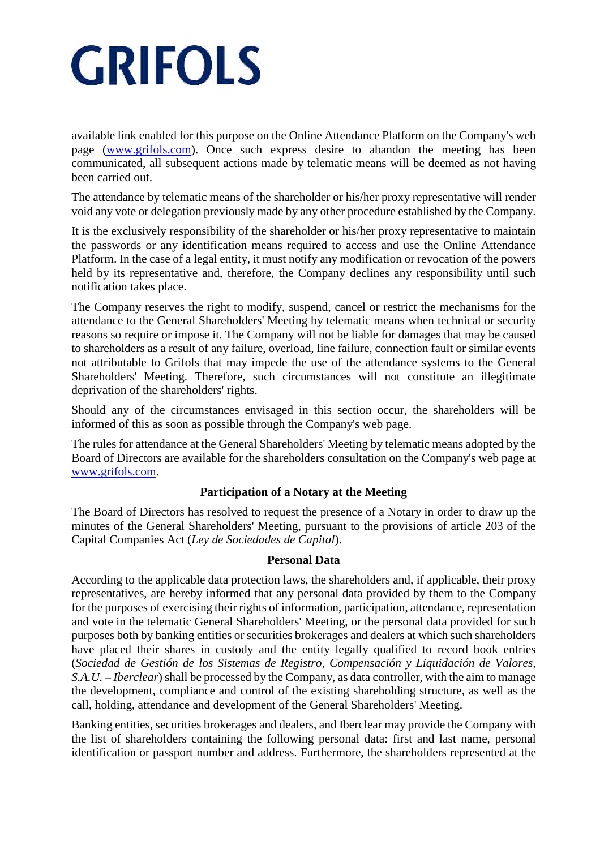available link enabled for this purpose on the Online Attendance Platform on the Company's web page (www.grifols.com). Once such express desire to abandon the meeting has been communicated, all subsequent actions made by telematic means will be deemed as not having been carried out.

The attendance by telematic means of the shareholder or his/her proxy representative will render void any vote or delegation previously made by any other procedure established by the Company.

It is the exclusively responsibility of the shareholder or his/her proxy representative to maintain the passwords or any identification means required to access and use the Online Attendance Platform. In the case of a legal entity, it must notify any modification or revocation of the powers held by its representative and, therefore, the Company declines any responsibility until such notification takes place.

The Company reserves the right to modify, suspend, cancel or restrict the mechanisms for the attendance to the General Shareholders' Meeting by telematic means when technical or security reasons so require or impose it. The Company will not be liable for damages that may be caused to shareholders as a result of any failure, overload, line failure, connection fault or similar events not attributable to Grifols that may impede the use of the attendance systems to the General Shareholders' Meeting. Therefore, such circumstances will not constitute an illegitimate deprivation of the shareholders' rights.

Should any of the circumstances envisaged in this section occur, the shareholders will be informed of this as soon as possible through the Company's web page.

The rules for attendance at the General Shareholders' Meeting by telematic means adopted by the Board of Directors are available for the shareholders consultation on the Company's web page at www.grifols.com.

### **Participation of a Notary at the Meeting**

The Board of Directors has resolved to request the presence of a Notary in order to draw up the minutes of the General Shareholders' Meeting, pursuant to the provisions of article 203 of the Capital Companies Act (*Ley de Sociedades de Capital*).

#### **Personal Data**

According to the applicable data protection laws, the shareholders and, if applicable, their proxy representatives, are hereby informed that any personal data provided by them to the Company for the purposes of exercising their rights of information, participation, attendance, representation and vote in the telematic General Shareholders' Meeting, or the personal data provided for such purposes both by banking entities or securities brokerages and dealers at which such shareholders have placed their shares in custody and the entity legally qualified to record book entries (*Sociedad de Gestión de los Sistemas de Registro, Compensación y Liquidación de Valores, S.A.U. – Iberclear*) shall be processed by the Company, as data controller, with the aim to manage the development, compliance and control of the existing shareholding structure, as well as the call, holding, attendance and development of the General Shareholders' Meeting.

Banking entities, securities brokerages and dealers, and Iberclear may provide the Company with the list of shareholders containing the following personal data: first and last name, personal identification or passport number and address. Furthermore, the shareholders represented at the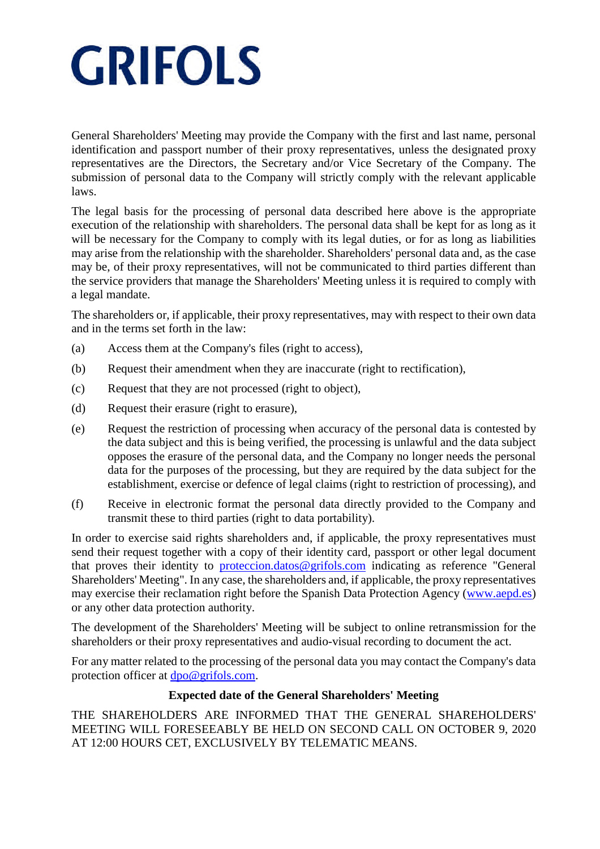General Shareholders' Meeting may provide the Company with the first and last name, personal identification and passport number of their proxy representatives, unless the designated proxy representatives are the Directors, the Secretary and/or Vice Secretary of the Company. The submission of personal data to the Company will strictly comply with the relevant applicable laws.

The legal basis for the processing of personal data described here above is the appropriate execution of the relationship with shareholders. The personal data shall be kept for as long as it will be necessary for the Company to comply with its legal duties, or for as long as liabilities may arise from the relationship with the shareholder. Shareholders' personal data and, as the case may be, of their proxy representatives, will not be communicated to third parties different than the service providers that manage the Shareholders' Meeting unless it is required to comply with a legal mandate.

The shareholders or, if applicable, their proxy representatives, may with respect to their own data and in the terms set forth in the law:

- (a) Access them at the Company's files (right to access),
- (b) Request their amendment when they are inaccurate (right to rectification),
- (c) Request that they are not processed (right to object),
- (d) Request their erasure (right to erasure),
- (e) Request the restriction of processing when accuracy of the personal data is contested by the data subject and this is being verified, the processing is unlawful and the data subject opposes the erasure of the personal data, and the Company no longer needs the personal data for the purposes of the processing, but they are required by the data subject for the establishment, exercise or defence of legal claims (right to restriction of processing), and
- (f) Receive in electronic format the personal data directly provided to the Company and transmit these to third parties (right to data portability).

In order to exercise said rights shareholders and, if applicable, the proxy representatives must send their request together with a copy of their identity card, passport or other legal document that proves their identity to proteccion.datos@grifols.com indicating as reference "General Shareholders' Meeting". In any case, the shareholders and, if applicable, the proxy representatives may exercise their reclamation right before the Spanish Data Protection Agency (www.aepd.es) or any other data protection authority.

The development of the Shareholders' Meeting will be subject to online retransmission for the shareholders or their proxy representatives and audio-visual recording to document the act.

For any matter related to the processing of the personal data you may contact the Company's data protection officer at <u>dpo@grifols.com</u>.

### **Expected date of the General Shareholders' Meeting**

THE SHAREHOLDERS ARE INFORMED THAT THE GENERAL SHAREHOLDERS' MEETING WILL FORESEEABLY BE HELD ON SECOND CALL ON OCTOBER 9, 2020 AT 12:00 HOURS CET, EXCLUSIVELY BY TELEMATIC MEANS.